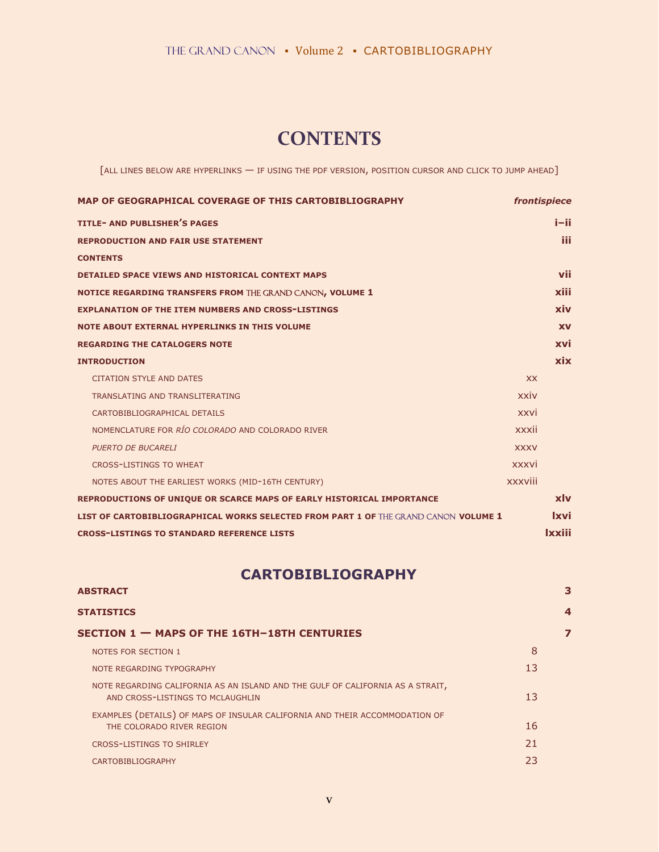## **CONTENTS**

[ALL LINES BELOW ARE HYPERLINKS — IF USING THE PDF VERSION, POSITION CURSOR AND CLICK TO JUMP AHEAD]

| MAP OF GEOGRAPHICAL COVERAGE OF THIS CARTOBIBLIOGRAPHY                              |             | frontispiece  |
|-------------------------------------------------------------------------------------|-------------|---------------|
| <b>TITLE- AND PUBLISHER'S PAGES</b>                                                 |             | i–ii.         |
| <b>REPRODUCTION AND FAIR USE STATEMENT</b>                                          |             | iii           |
| <b>CONTENTS</b>                                                                     |             |               |
| <b>DETAILED SPACE VIEWS AND HISTORICAL CONTEXT MAPS</b>                             |             | vii           |
| NOTICE REGARDING TRANSFERS FROM THE GRAND CANON, VOLUME 1                           |             | xiii          |
| <b>EXPLANATION OF THE ITEM NUMBERS AND CROSS-LISTINGS</b>                           |             | xiv           |
| <b>NOTE ABOUT EXTERNAL HYPERLINKS IN THIS VOLUME</b>                                |             | <b>XV</b>     |
| <b>REGARDING THE CATALOGERS NOTE</b>                                                |             | xvi           |
| <b>INTRODUCTION</b>                                                                 |             | xix           |
| <b>CITATION STYLE AND DATES</b>                                                     | <b>XX</b>   |               |
| TRANSLATING AND TRANSLITERATING                                                     | xxiv        |               |
| CARTOBIBLIOGRAPHICAL DETAILS                                                        | xxvi        |               |
| NOMENCLATURE FOR RÍO COLORADO AND COLORADO RIVER                                    | xxxii       |               |
| <b>PUERTO DE BUCARELI</b>                                                           | <b>XXXV</b> |               |
| <b>CROSS-LISTINGS TO WHEAT</b>                                                      | xxxvi       |               |
| NOTES ABOUT THE EARLIEST WORKS (MID-16TH CENTURY)                                   | xxxviii     |               |
| REPRODUCTIONS OF UNIQUE OR SCARCE MAPS OF EARLY HISTORICAL IMPORTANCE               |             | xlv           |
| LIST OF CARTOBIBLIOGRAPHICAL WORKS SELECTED FROM PART 1 OF THE GRAND CANON VOLUME 1 |             | <u>Ixvi</u>   |
| <b>CROSS-LISTINGS TO STANDARD REFERENCE LISTS</b>                                   |             | <b>Ixxiii</b> |

## **CARTOBIBLIOGRAPHY**

| <b>ABSTRACT</b><br><b>STATISTICS</b>                                                                               |    | 4 |
|--------------------------------------------------------------------------------------------------------------------|----|---|
|                                                                                                                    |    |   |
| <b>NOTES FOR SECTION 1</b>                                                                                         | 8  |   |
| NOTE REGARDING TYPOGRAPHY                                                                                          | 13 |   |
| NOTE REGARDING CALIFORNIA AS AN ISLAND AND THE GULF OF CALIFORNIA AS A STRAIT,<br>AND CROSS-LISTINGS TO MCLAUGHLIN | 13 |   |
| EXAMPLES (DETAILS) OF MAPS OF INSULAR CALIFORNIA AND THEIR ACCOMMODATION OF<br>THE COLORADO RIVER REGION           | 16 |   |
| <b>CROSS-LISTINGS TO SHIRLEY</b>                                                                                   | 21 |   |
| CARTOBIBLIOGRAPHY                                                                                                  | 23 |   |